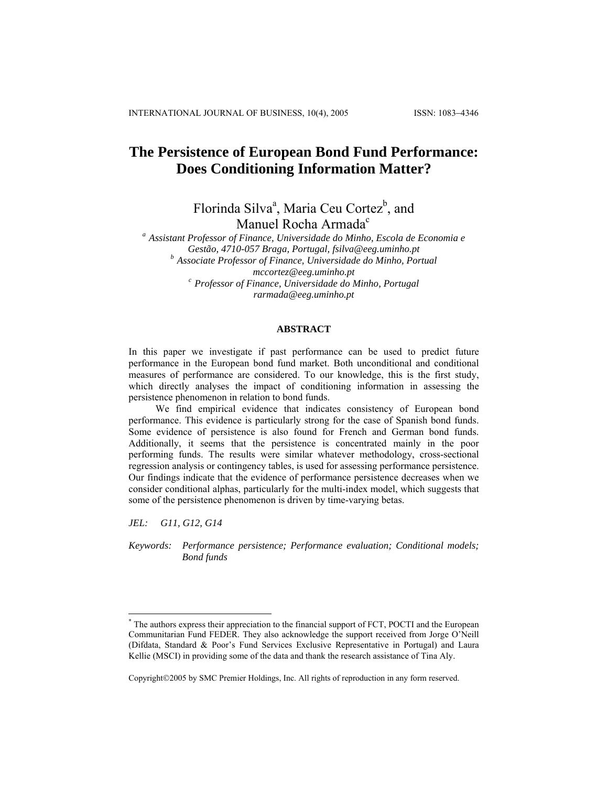# **The Persistence of European Bond Fund Performance: Does Conditioning Information Matter?**

Florinda Silva<sup>a</sup>, Maria Ceu Cortez<sup>b</sup>, and Manuel Ro[c](#page-0-0)ha Armada<sup>c</sup>

*a Assistant Professor of Finance, Universidade do Minho, Escola de Economia e Gestão, 4710-057 Braga, Portugal, fsilva@eeg.uminho.pt b Associate Professor of Finance, Universidade do Minho, Portual mccortez@eeg.uminho.pt c Professor of Finance, Universidade do Minho, Portugal rarmada@eeg.uminho.pt*

## **ABSTRACT**

In this paper we investigate if past performance can be used to predict future performance in the European bond fund market. Both unconditional and conditional measures of performance are considered. To our knowledge, this is the first study, which directly analyses the impact of conditioning information in assessing the persistence phenomenon in relation to bond funds.

We find empirical evidence that indicates consistency of European bond performance. This evidence is particularly strong for the case of Spanish bond funds. Some evidence of persistence is also found for French and German bond funds. Additionally, it seems that the persistence is concentrated mainly in the poor performing funds. The results were similar whatever methodology, cross-sectional regression analysis or contingency tables, is used for assessing performance persistence. Our findings indicate that the evidence of performance persistence decreases when we consider conditional alphas, particularly for the multi-index model, which suggests that some of the persistence phenomenon is driven by time-varying betas.

*JEL: G11, G12, G14* 

 $\overline{a}$ 

*Keywords: Performance persistence; Performance evaluation; Conditional models; Bond funds* 

Copyright©2005 by SMC Premier Holdings, Inc. All rights of reproduction in any form reserved.

<span id="page-0-0"></span><sup>\*</sup> The authors express their appreciation to the financial support of FCT, POCTI and the European Communitarian Fund FEDER. They also acknowledge the support received from Jorge O'Neill (Difdata, Standard & Poor's Fund Services Exclusive Representative in Portugal) and Laura Kellie (MSCI) in providing some of the data and thank the research assistance of Tina Aly.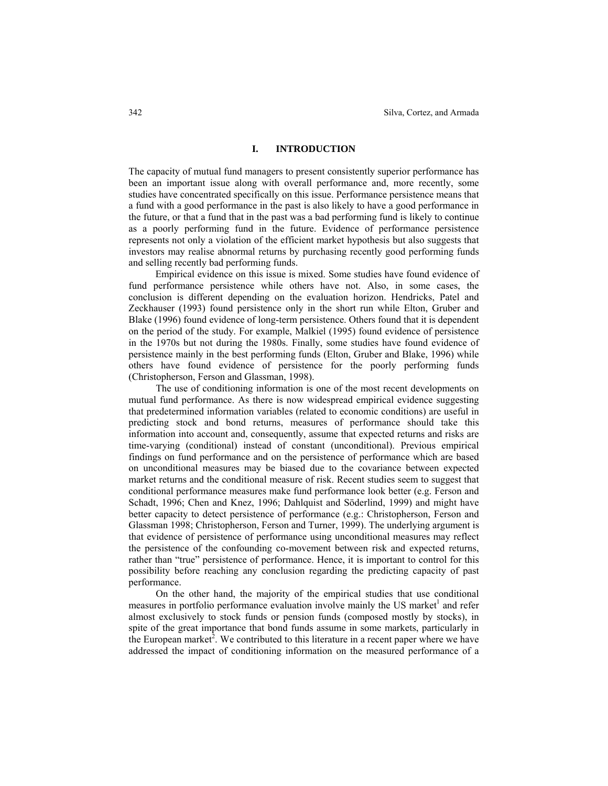# **I. INTRODUCTION**

The capacity of mutual fund managers to present consistently superior performance has been an important issue along with overall performance and, more recently, some studies have concentrated specifically on this issue. Performance persistence means that a fund with a good performance in the past is also likely to have a good performance in the future, or that a fund that in the past was a bad performing fund is likely to continue as a poorly performing fund in the future. Evidence of performance persistence represents not only a violation of the efficient market hypothesis but also suggests that investors may realise abnormal returns by purchasing recently good performing funds and selling recently bad performing funds.

Empirical evidence on this issue is mixed. Some studies have found evidence of fund performance persistence while others have not. Also, in some cases, the conclusion is different depending on the evaluation horizon. Hendricks, Patel and Zeckhauser (1993) found persistence only in the short run while Elton, Gruber and Blake (1996) found evidence of long-term persistence. Others found that it is dependent on the period of the study. For example, Malkiel (1995) found evidence of persistence in the 1970s but not during the 1980s. Finally, some studies have found evidence of persistence mainly in the best performing funds (Elton, Gruber and Blake, 1996) while others have found evidence of persistence for the poorly performing funds (Christopherson, Ferson and Glassman, 1998).

The use of conditioning information is one of the most recent developments on mutual fund performance. As there is now widespread empirical evidence suggesting that predetermined information variables (related to economic conditions) are useful in predicting stock and bond returns, measures of performance should take this information into account and, consequently, assume that expected returns and risks are time-varying (conditional) instead of constant (unconditional). Previous empirical findings on fund performance and on the persistence of performance which are based on unconditional measures may be biased due to the covariance between expected market returns and the conditional measure of risk. Recent studies seem to suggest that conditional performance measures make fund performance look better (e.g. Ferson and Schadt, 1996; Chen and Knez, 1996; Dahlquist and Söderlind, 1999) and might have better capacity to detect persistence of performance (e.g.: Christopherson, Ferson and Glassman 1998; Christopherson, Ferson and Turner, 1999). The underlying argument is that evidence of persistence of performance using unconditional measures may reflect the persistence of the confounding co-movement between risk and expected returns, rather than "true" persistence of performance. Hence, it is important to control for this possibility before reaching any conclusion regarding the predicting capacity of past performance.

On the other hand, the majority of the empirical studies that use conditional measures in portfolio performance evaluation involve mainly the US market<sup>1</sup> and refer almost exclusively to stock funds or pension funds (composed mostly by stocks), in spite of the great importance that bond funds assume in some markets, particularly in the European market<sup>2</sup>. We contributed to this literature in a recent paper where we have addressed the impact of conditioning information on the measured performance of a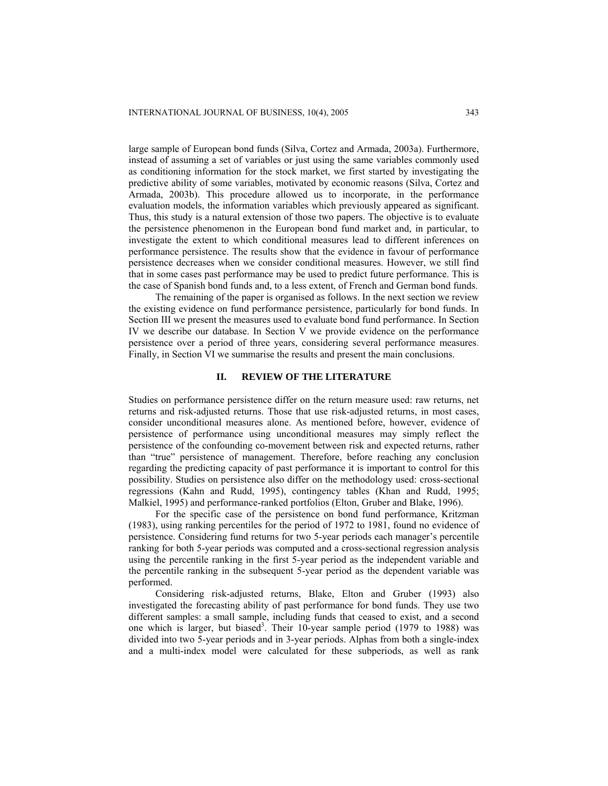large sample of European bond funds (Silva, Cortez and Armada, 2003a). Furthermore, instead of assuming a set of variables or just using the same variables commonly used as conditioning information for the stock market, we first started by investigating the predictive ability of some variables, motivated by economic reasons (Silva, Cortez and Armada, 2003b). This procedure allowed us to incorporate, in the performance evaluation models, the information variables which previously appeared as significant. Thus, this study is a natural extension of those two papers. The objective is to evaluate the persistence phenomenon in the European bond fund market and, in particular, to investigate the extent to which conditional measures lead to different inferences on performance persistence. The results show that the evidence in favour of performance persistence decreases when we consider conditional measures. However, we still find that in some cases past performance may be used to predict future performance. This is the case of Spanish bond funds and, to a less extent, of French and German bond funds.

The remaining of the paper is organised as follows. In the next section we review the existing evidence on fund performance persistence, particularly for bond funds. In Section III we present the measures used to evaluate bond fund performance. In Section IV we describe our database. In Section V we provide evidence on the performance persistence over a period of three years, considering several performance measures. Finally, in Section VI we summarise the results and present the main conclusions.

## **II. REVIEW OF THE LITERATURE**

Studies on performance persistence differ on the return measure used: raw returns, net returns and risk-adjusted returns. Those that use risk-adjusted returns, in most cases, consider unconditional measures alone. As mentioned before, however, evidence of persistence of performance using unconditional measures may simply reflect the persistence of the confounding co-movement between risk and expected returns, rather than "true" persistence of management. Therefore, before reaching any conclusion regarding the predicting capacity of past performance it is important to control for this possibility. Studies on persistence also differ on the methodology used: cross-sectional regressions (Kahn and Rudd, 1995), contingency tables (Khan and Rudd, 1995; Malkiel, 1995) and performance-ranked portfolios (Elton, Gruber and Blake, 1996).

For the specific case of the persistence on bond fund performance, Kritzman (1983), using ranking percentiles for the period of 1972 to 1981, found no evidence of persistence. Considering fund returns for two 5-year periods each manager's percentile ranking for both 5-year periods was computed and a cross-sectional regression analysis using the percentile ranking in the first 5-year period as the independent variable and the percentile ranking in the subsequent 5-year period as the dependent variable was performed.

Considering risk-adjusted returns, Blake, Elton and Gruber (1993) also investigated the forecasting ability of past performance for bond funds. They use two different samples: a small sample, including funds that ceased to exist, and a second one which is larger, but biased<sup>3</sup>. Their 10-year sample period (1979 to 1988) was divided into two 5-year periods and in 3-year periods. Alphas from both a single-index and a multi-index model were calculated for these subperiods, as well as rank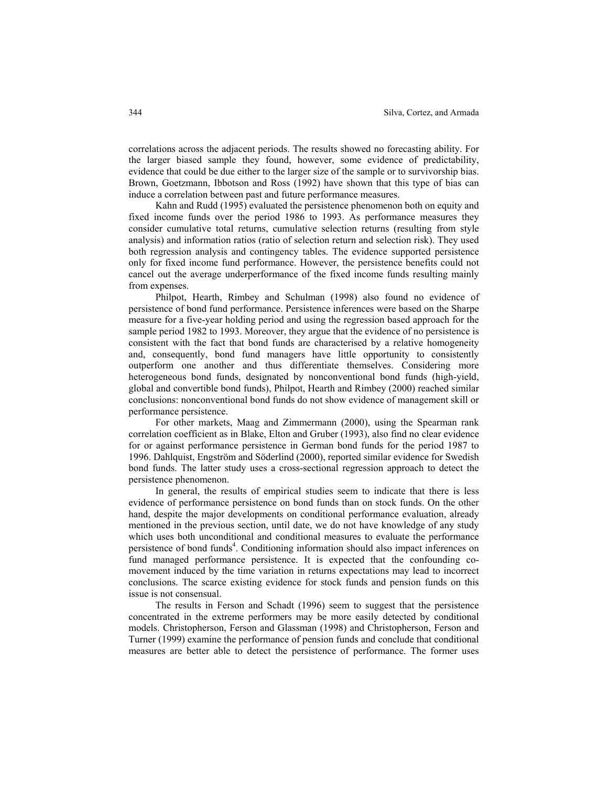correlations across the adjacent periods. The results showed no forecasting ability. For the larger biased sample they found, however, some evidence of predictability, evidence that could be due either to the larger size of the sample or to survivorship bias. Brown, Goetzmann, Ibbotson and Ross (1992) have shown that this type of bias can induce a correlation between past and future performance measures.

Kahn and Rudd (1995) evaluated the persistence phenomenon both on equity and fixed income funds over the period 1986 to 1993. As performance measures they consider cumulative total returns, cumulative selection returns (resulting from style analysis) and information ratios (ratio of selection return and selection risk). They used both regression analysis and contingency tables. The evidence supported persistence only for fixed income fund performance. However, the persistence benefits could not cancel out the average underperformance of the fixed income funds resulting mainly from expenses.

Philpot, Hearth, Rimbey and Schulman (1998) also found no evidence of persistence of bond fund performance. Persistence inferences were based on the Sharpe measure for a five-year holding period and using the regression based approach for the sample period 1982 to 1993. Moreover, they argue that the evidence of no persistence is consistent with the fact that bond funds are characterised by a relative homogeneity and, consequently, bond fund managers have little opportunity to consistently outperform one another and thus differentiate themselves. Considering more heterogeneous bond funds, designated by nonconventional bond funds (high-yield, global and convertible bond funds), Philpot, Hearth and Rimbey (2000) reached similar conclusions: nonconventional bond funds do not show evidence of management skill or performance persistence.

For other markets, Maag and Zimmermann (2000), using the Spearman rank correlation coefficient as in Blake, Elton and Gruber (1993), also find no clear evidence for or against performance persistence in German bond funds for the period 1987 to 1996. Dahlquist, Engström and Söderlind (2000), reported similar evidence for Swedish bond funds. The latter study uses a cross-sectional regression approach to detect the persistence phenomenon.

In general, the results of empirical studies seem to indicate that there is less evidence of performance persistence on bond funds than on stock funds. On the other hand, despite the major developments on conditional performance evaluation, already mentioned in the previous section, until date, we do not have knowledge of any study which uses both unconditional and conditional measures to evaluate the performance persistence of bond funds<sup>4</sup>. Conditioning information should also impact inferences on fund managed performance persistence. It is expected that the confounding comovement induced by the time variation in returns expectations may lead to incorrect conclusions. The scarce existing evidence for stock funds and pension funds on this issue is not consensual.

The results in Ferson and Schadt (1996) seem to suggest that the persistence concentrated in the extreme performers may be more easily detected by conditional models. Christopherson, Ferson and Glassman (1998) and Christopherson, Ferson and Turner (1999) examine the performance of pension funds and conclude that conditional measures are better able to detect the persistence of performance. The former uses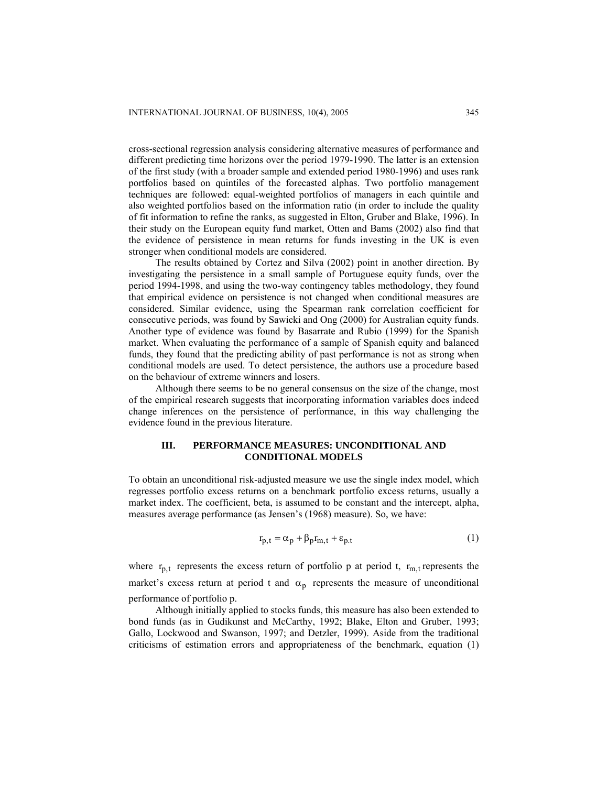cross-sectional regression analysis considering alternative measures of performance and different predicting time horizons over the period 1979-1990. The latter is an extension of the first study (with a broader sample and extended period 1980-1996) and uses rank portfolios based on quintiles of the forecasted alphas. Two portfolio management techniques are followed: equal-weighted portfolios of managers in each quintile and also weighted portfolios based on the information ratio (in order to include the quality of fit information to refine the ranks, as suggested in Elton, Gruber and Blake, 1996). In their study on the European equity fund market, Otten and Bams (2002) also find that the evidence of persistence in mean returns for funds investing in the UK is even stronger when conditional models are considered.

The results obtained by Cortez and Silva (2002) point in another direction. By investigating the persistence in a small sample of Portuguese equity funds, over the period 1994-1998, and using the two-way contingency tables methodology, they found that empirical evidence on persistence is not changed when conditional measures are considered. Similar evidence, using the Spearman rank correlation coefficient for consecutive periods, was found by Sawicki and Ong (2000) for Australian equity funds. Another type of evidence was found by Basarrate and Rubio (1999) for the Spanish market. When evaluating the performance of a sample of Spanish equity and balanced funds, they found that the predicting ability of past performance is not as strong when conditional models are used. To detect persistence, the authors use a procedure based on the behaviour of extreme winners and losers.

Although there seems to be no general consensus on the size of the change, most of the empirical research suggests that incorporating information variables does indeed change inferences on the persistence of performance, in this way challenging the evidence found in the previous literature.

# **III. PERFORMANCE MEASURES: UNCONDITIONAL AND CONDITIONAL MODELS**

To obtain an unconditional risk-adjusted measure we use the single index model, which regresses portfolio excess returns on a benchmark portfolio excess returns, usually a market index. The coefficient, beta, is assumed to be constant and the intercept, alpha, measures average performance (as Jensen's (1968) measure). So, we have:

$$
r_{p,t} = \alpha_p + \beta_p r_{m,t} + \varepsilon_{p,t} \tag{1}
$$

where  $r_{p,t}$  represents the excess return of portfolio p at period t,  $r_{m,t}$  represents the market's excess return at period t and  $\alpha_p$  represents the measure of unconditional performance of portfolio p.

Although initially applied to stocks funds, this measure has also been extended to bond funds (as in Gudikunst and McCarthy, 1992; Blake, Elton and Gruber, 1993; Gallo, Lockwood and Swanson, 1997; and Detzler, 1999). Aside from the traditional criticisms of estimation errors and appropriateness of the benchmark, equation (1)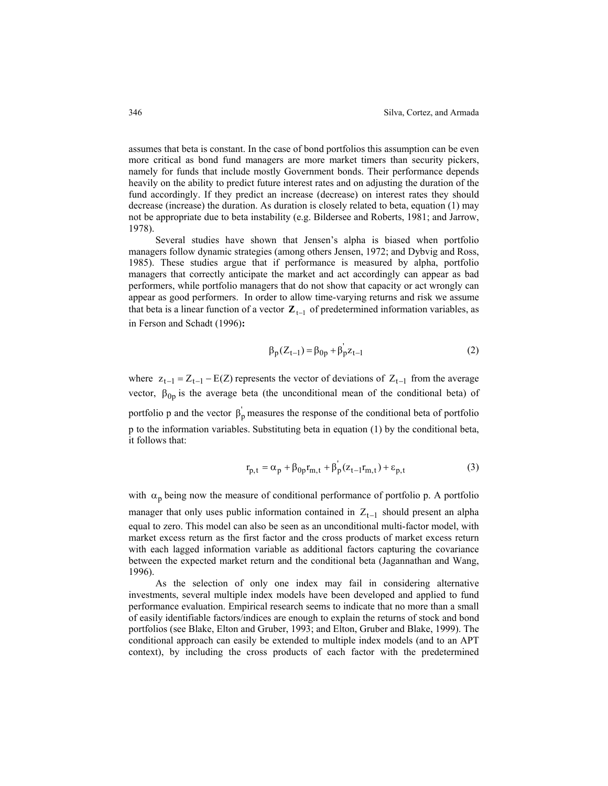assumes that beta is constant. In the case of bond portfolios this assumption can be even more critical as bond fund managers are more market timers than security pickers, namely for funds that include mostly Government bonds. Their performance depends heavily on the ability to predict future interest rates and on adjusting the duration of the fund accordingly. If they predict an increase (decrease) on interest rates they should decrease (increase) the duration. As duration is closely related to beta, equation (1) may not be appropriate due to beta instability (e.g. Bildersee and Roberts, 1981; and Jarrow, 1978).

Several studies have shown that Jensen's alpha is biased when portfolio managers follow dynamic strategies (among others Jensen, 1972; and Dybvig and Ross, 1985). These studies argue that if performance is measured by alpha, portfolio managers that correctly anticipate the market and act accordingly can appear as bad performers, while portfolio managers that do not show that capacity or act wrongly can appear as good performers. In order to allow time-varying returns and risk we assume that beta is a linear function of a vector  $\mathbf{Z}_{t-1}$  of predetermined information variables, as in Ferson and Schadt (1996)**:** 

$$
\beta_{p}(Z_{t-1}) = \beta_{0p} + \beta_{p}^{'}Z_{t-1}
$$
 (2)

where  $z_{t-1} = Z_{t-1} - E(Z)$  represents the vector of deviations of  $Z_{t-1}$  from the average vector,  $\beta_{0p}$  is the average beta (the unconditional mean of the conditional beta) of portfolio p and the vector  $\beta_p$  measures the response of the conditional beta of portfolio p to the information variables. Substituting beta in equation (1) by the conditional beta, it follows that:

$$
r_{p,t} = \alpha_p + \beta_{0p} r_{m,t} + \beta_p (z_{t-1} r_{m,t}) + \varepsilon_{p,t}
$$
 (3)

with  $\alpha_p$  being now the measure of conditional performance of portfolio p. A portfolio manager that only uses public information contained in  $Z_{t-1}$  should present an alpha equal to zero. This model can also be seen as an unconditional multi-factor model, with market excess return as the first factor and the cross products of market excess return with each lagged information variable as additional factors capturing the covariance between the expected market return and the conditional beta (Jagannathan and Wang, 1996).

As the selection of only one index may fail in considering alternative investments, several multiple index models have been developed and applied to fund performance evaluation. Empirical research seems to indicate that no more than a small of easily identifiable factors/indices are enough to explain the returns of stock and bond portfolios (see Blake, Elton and Gruber, 1993; and Elton, Gruber and Blake, 1999). The conditional approach can easily be extended to multiple index models (and to an APT context), by including the cross products of each factor with the predetermined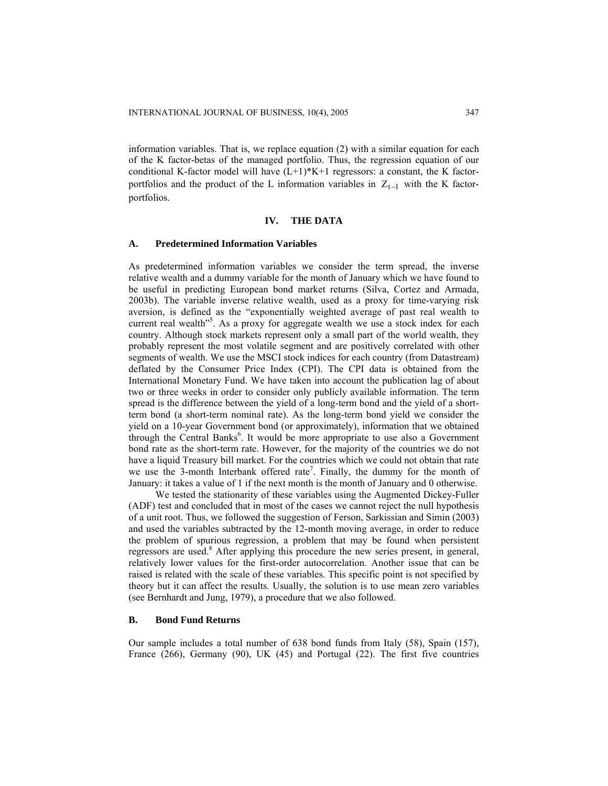information variables. That is, we replace equation (2) with a similar equation for each of the K factor-betas of the managed portfolio. Thus, the regression equation of our conditional K-factor model will have  $(L+1)*K+1$  regressors: a constant, the K factorportfolios and the product of the L information variables in  $Z_{t-1}$  with the K factorportfolios.

## **IV. THE DATA**

## **A. Predetermined Information Variables**

As predetermined information variables we consider the term spread, the inverse relative wealth and a dummy variable for the month of January which we have found to be useful in predicting European bond market returns (Silva, Cortez and Armada, 2003b). The variable inverse relative wealth, used as a proxy for time-varying risk aversion, is defined as the "exponentially weighted average of past real wealth to current real wealth<sup>35</sup>. As a proxy for aggregate wealth we use a stock index for each country. Although stock markets represent only a small part of the world wealth, they probably represent the most volatile segment and are positively correlated with other segments of wealth. We use the MSCI stock indices for each country (from Datastream) deflated by the Consumer Price Index (CPI). The CPI data is obtained from the International Monetary Fund. We have taken into account the publication lag of about two or three weeks in order to consider only publicly available information. The term spread is the difference between the yield of a long-term bond and the yield of a shortterm bond (a short-term nominal rate). As the long-term bond yield we consider the yield on a 10-year Government bond (or approximately), information that we obtained through the Central Banks<sup>6</sup>. It would be more appropriate to use also a Government bond rate as the short-term rate. However, for the majority of the countries we do not have a liquid Treasury bill market. For the countries which we could not obtain that rate we use the 3-month Interbank offered rate<sup>7</sup>. Finally, the dummy for the month of January: it takes a value of 1 if the next month is the month of January and 0 otherwise.

We tested the stationarity of these variables using the Augmented Dickey-Fuller (ADF) test and concluded that in most of the cases we cannot reject the null hypothesis of a unit root. Thus, we followed the suggestion of Ferson, Sarkissian and Simin (2003) and used the variables subtracted by the 12-month moving average, in order to reduce the problem of spurious regression, a problem that may be found when persistent regressors are used.<sup>8</sup> After applying this procedure the new series present, in general, relatively lower values for the first-order autocorrelation. Another issue that can be raised is related with the scale of these variables. This specific point is not specified by theory but it can affect the results. Usually, the solution is to use mean zero variables (see Bernhardt and Jung, 1979), a procedure that we also followed.

## **B. Bond Fund Returns**

Our sample includes a total number of 638 bond funds from Italy (58), Spain (157), France (266), Germany (90), UK (45) and Portugal (22). The first five countries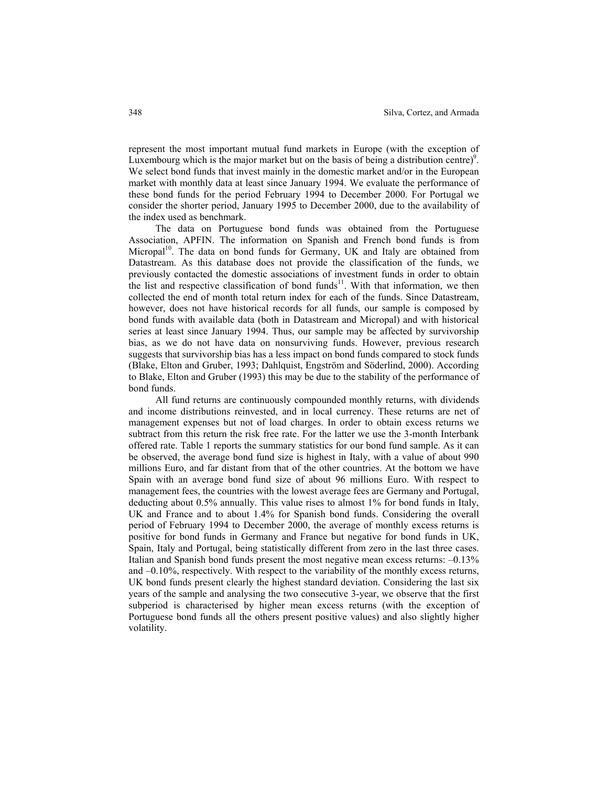represent the most important mutual fund markets in Europe (with the exception of Luxembourg which is the major market but on the basis of being a distribution centre)<sup>9</sup>. We select bond funds that invest mainly in the domestic market and/or in the European market with monthly data at least since January 1994. We evaluate the performance of these bond funds for the period February 1994 to December 2000. For Portugal we consider the shorter period, January 1995 to December 2000, due to the availability of the index used as benchmark.

 The data on Portuguese bond funds was obtained from the Portuguese Association, APFIN. The information on Spanish and French bond funds is from Micropal<sup>10</sup>. The data on bond funds for Germany, UK and Italy are obtained from Datastream. As this database does not provide the classification of the funds, we previously contacted the domestic associations of investment funds in order to obtain the list and respective classification of bond  $funds<sup>11</sup>$ . With that information, we then collected the end of month total return index for each of the funds. Since Datastream, however, does not have historical records for all funds, our sample is composed by bond funds with available data (both in Datastream and Micropal) and with historical series at least since January 1994. Thus, our sample may be affected by survivorship bias, as we do not have data on nonsurviving funds. However, previous research suggests that survivorship bias has a less impact on bond funds compared to stock funds (Blake, Elton and Gruber, 1993; Dahlquist, Engström and Söderlind, 2000). According to Blake, Elton and Gruber (1993) this may be due to the stability of the performance of bond funds.

All fund returns are continuously compounded monthly returns, with dividends and income distributions reinvested, and in local currency. These returns are net of management expenses but not of load charges. In order to obtain excess returns we subtract from this return the risk free rate. For the latter we use the 3-month Interbank offered rate. Table 1 reports the summary statistics for our bond fund sample. As it can be observed, the average bond fund size is highest in Italy, with a value of about 990 millions Euro, and far distant from that of the other countries. At the bottom we have Spain with an average bond fund size of about 96 millions Euro. With respect to management fees, the countries with the lowest average fees are Germany and Portugal, deducting about 0.5% annually. This value rises to almost 1% for bond funds in Italy, UK and France and to about 1.4% for Spanish bond funds. Considering the overall period of February 1994 to December 2000, the average of monthly excess returns is positive for bond funds in Germany and France but negative for bond funds in UK, Spain, Italy and Portugal, being statistically different from zero in the last three cases. Italian and Spanish bond funds present the most negative mean excess returns:  $-0.13\%$ and –0.10%, respectively. With respect to the variability of the monthly excess returns, UK bond funds present clearly the highest standard deviation. Considering the last six years of the sample and analysing the two consecutive 3-year, we observe that the first subperiod is characterised by higher mean excess returns (with the exception of Portuguese bond funds all the others present positive values) and also slightly higher volatility.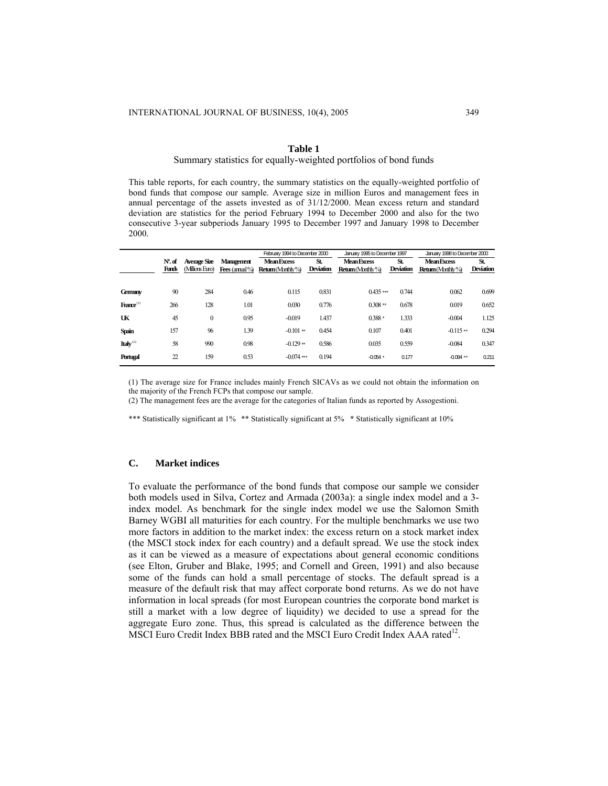## **Table 1**

#### Summary statistics for equally-weighted portfolios of bond funds

This table reports, for each country, the summary statistics on the equally-weighted portfolio of bond funds that compose our sample. Average size in million Euros and management fees in annual percentage of the assets invested as of 31/12/2000. Mean excess return and standard deviation are statistics for the period February 1994 to December 2000 and also for the two consecutive 3-year subperiods January 1995 to December 1997 and January 1998 to December 2000.

|                       |           |                |                   | February 1994 to December 2000 |                  | January 1995 to December 1997 |                  | January 1998 to December 2000 |                  |  |
|-----------------------|-----------|----------------|-------------------|--------------------------------|------------------|-------------------------------|------------------|-------------------------------|------------------|--|
|                       | $N0$ . of | Average Size   | <b>Management</b> | <b>Mean Excess</b>             | St.              | <b>Mean Excess</b>            | St.              | <b>Mean Excess</b>            | St.              |  |
|                       | Funds     | (Milions Euro) | Fees (armal $%$   | Return (Monthly%)              | <b>Deviation</b> | Return (Morthly%)             | <b>Deviation</b> | Return(Morthly%)              | <b>Deviation</b> |  |
|                       |           |                |                   |                                |                  |                               |                  |                               |                  |  |
| <b>Gemany</b>         | 90        | 284            | 0.46              | 0.115                          | 0.831            | $0.435***$                    | 0.744            | 0.062                         | 0.699            |  |
| $\text{France}^{(1)}$ | 266       | 128            | 1.01              | 0.030                          | 0.776            | $0.308**$                     | 0.678            | 0.019                         | 0.652            |  |
| UK                    | 45        | $\mathbf{0}$   | 0.95              | $-0.019$                       | 1.437            | $0.388*$                      | 1.333            | $-0.004$                      | 1.125            |  |
| <b>Spain</b>          | 157       | 96             | 1.39              | $-0.101**$                     | 0.454            | 0.107                         | 0.401            | $-0.115**$                    | 0.294            |  |
| Italy $^{(2)}$        | 58        | 990            | 0.98              | $-0.129**$                     | 0.586            | 0.035                         | 0.559            | $-0.084$                      | 0.347            |  |
| Portugal              | 22        | 159            | 0.53              | $-0.074$ ***                   | 0.194            | $-0.054*$                     | 0.177            | $-0.094**$                    | 0.211            |  |

(1) The average size for France includes mainly French SICAVs as we could not obtain the information on the majority of the French FCPs that compose our sample.

(2) The management fees are the average for the categories of Italian funds as reported by Assogestioni.

\*\*\* Statistically significant at 1% \*\* Statistically significant at 5% \* Statistically significant at 10%

## **C. Market indices**

To evaluate the performance of the bond funds that compose our sample we consider both models used in Silva, Cortez and Armada (2003a): a single index model and a 3 index model. As benchmark for the single index model we use the Salomon Smith Barney WGBI all maturities for each country. For the multiple benchmarks we use two more factors in addition to the market index: the excess return on a stock market index (the MSCI stock index for each country) and a default spread. We use the stock index as it can be viewed as a measure of expectations about general economic conditions (see Elton, Gruber and Blake, 1995; and Cornell and Green, 1991) and also because some of the funds can hold a small percentage of stocks. The default spread is a measure of the default risk that may affect corporate bond returns. As we do not have information in local spreads (for most European countries the corporate bond market is still a market with a low degree of liquidity) we decided to use a spread for the aggregate Euro zone. Thus, this spread is calculated as the difference between the MSCI Euro Credit Index BBB rated and the MSCI Euro Credit Index AAA rated<sup>12</sup>.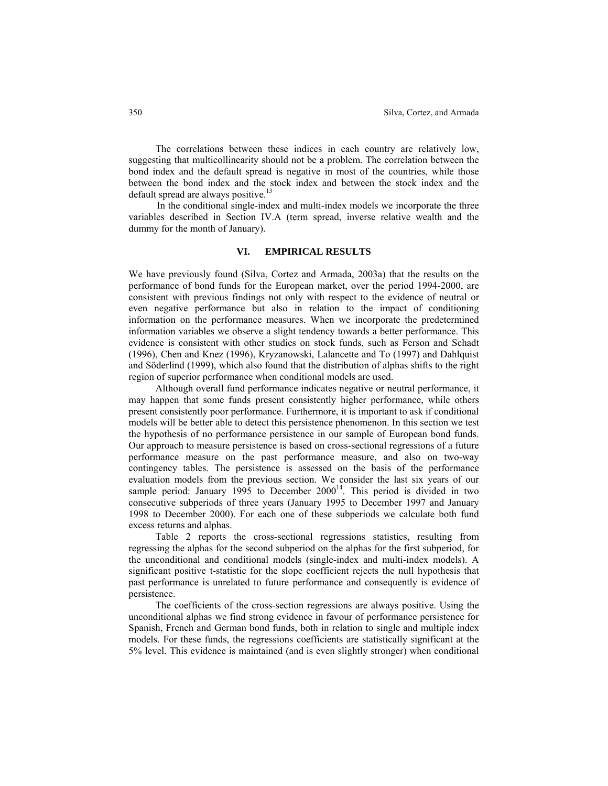The correlations between these indices in each country are relatively low, suggesting that multicollinearity should not be a problem. The correlation between the bond index and the default spread is negative in most of the countries, while those between the bond index and the stock index and between the stock index and the default spread are always positive.<sup>13</sup>

In the conditional single-index and multi-index models we incorporate the three variables described in Section IV.A (term spread, inverse relative wealth and the dummy for the month of January).

## **VI. EMPIRICAL RESULTS**

We have previously found (Silva, Cortez and Armada, 2003a) that the results on the performance of bond funds for the European market, over the period 1994-2000, are consistent with previous findings not only with respect to the evidence of neutral or even negative performance but also in relation to the impact of conditioning information on the performance measures. When we incorporate the predetermined information variables we observe a slight tendency towards a better performance. This evidence is consistent with other studies on stock funds, such as Ferson and Schadt (1996), Chen and Knez (1996), Kryzanowski, Lalancette and To (1997) and Dahlquist and Söderlind (1999), which also found that the distribution of alphas shifts to the right region of superior performance when conditional models are used.

Although overall fund performance indicates negative or neutral performance, it may happen that some funds present consistently higher performance, while others present consistently poor performance. Furthermore, it is important to ask if conditional models will be better able to detect this persistence phenomenon. In this section we test the hypothesis of no performance persistence in our sample of European bond funds. Our approach to measure persistence is based on cross-sectional regressions of a future performance measure on the past performance measure, and also on two-way contingency tables. The persistence is assessed on the basis of the performance evaluation models from the previous section. We consider the last six years of our sample period: January 1995 to December  $2000^{14}$ . This period is divided in two consecutive subperiods of three years (January 1995 to December 1997 and January 1998 to December 2000). For each one of these subperiods we calculate both fund excess returns and alphas.

Table 2 reports the cross-sectional regressions statistics, resulting from regressing the alphas for the second subperiod on the alphas for the first subperiod, for the unconditional and conditional models (single-index and multi-index models). A significant positive t-statistic for the slope coefficient rejects the null hypothesis that past performance is unrelated to future performance and consequently is evidence of persistence.

The coefficients of the cross-section regressions are always positive. Using the unconditional alphas we find strong evidence in favour of performance persistence for Spanish, French and German bond funds, both in relation to single and multiple index models. For these funds, the regressions coefficients are statistically significant at the 5% level. This evidence is maintained (and is even slightly stronger) when conditional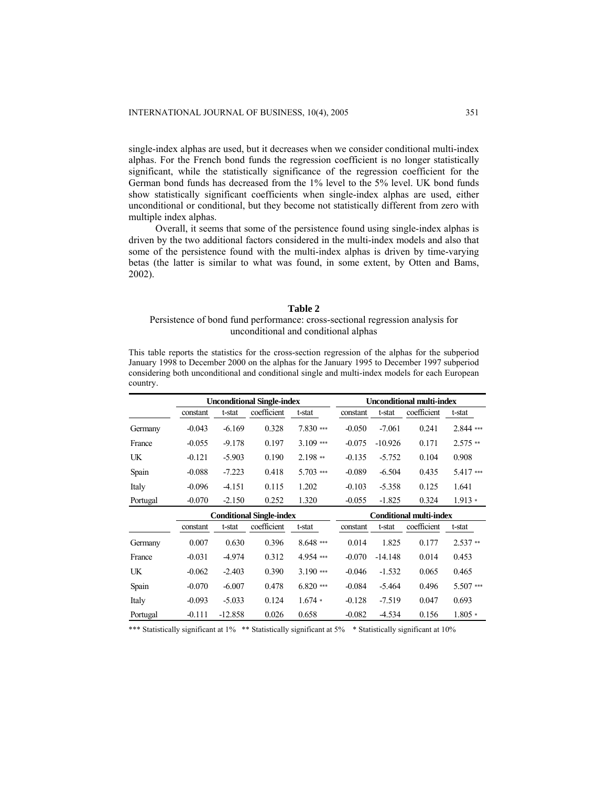single-index alphas are used, but it decreases when we consider conditional multi-index alphas. For the French bond funds the regression coefficient is no longer statistically significant, while the statistically significance of the regression coefficient for the German bond funds has decreased from the 1% level to the 5% level. UK bond funds show statistically significant coefficients when single-index alphas are used, either unconditional or conditional, but they become not statistically different from zero with multiple index alphas.

Overall, it seems that some of the persistence found using single-index alphas is driven by the two additional factors considered in the multi-index models and also that some of the persistence found with the multi-index alphas is driven by time-varying betas (the latter is similar to what was found, in some extent, by Otten and Bams, 2002).

#### **Table 2**

# Persistence of bond fund performance: cross-sectional regression analysis for unconditional and conditional alphas

This table reports the statistics for the cross-section regression of the alphas for the subperiod January 1998 to December 2000 on the alphas for the January 1995 to December 1997 subperiod considering both unconditional and conditional single and multi-index models for each European country.

|          |          | <b>Unconditional Single-index</b> |                                 | <b>Unconditional multi-index</b> |          |           |                                |             |
|----------|----------|-----------------------------------|---------------------------------|----------------------------------|----------|-----------|--------------------------------|-------------|
|          | constant | t-stat                            | coefficient                     | t-stat                           | constant | t-stat    | coefficient                    | t-stat      |
| Germany  | $-0.043$ | $-6.169$                          | 0.328                           | $7.830***$                       | $-0.050$ | $-7.061$  | 0.241                          | $2.844$ *** |
| France   | $-0.055$ | $-9.178$                          | 0.197                           | $3.109$ ***                      | $-0.075$ | $-10.926$ | 0.171                          | $2.575**$   |
| UK       | $-0.121$ | $-5.903$                          | 0.190                           | $2.198**$                        | $-0.135$ | $-5.752$  | 0.104                          | 0.908       |
| Spain    | $-0.088$ | $-7.223$                          | 0.418                           | $5.703$ ***                      | $-0.089$ | $-6.504$  | 0.435                          | 5.417***    |
| Italy    | $-0.096$ | $-4.151$                          | 0.115                           | 1.202                            | $-0.103$ | $-5.358$  | 0.125                          | 1.641       |
| Portugal | $-0.070$ | $-2.150$                          | 0.252                           | 1.320                            | $-0.055$ | $-1.825$  | 0.324                          | $1.913*$    |
|          |          |                                   |                                 |                                  |          |           |                                |             |
|          |          |                                   | <b>Conditional Single-index</b> |                                  |          |           | <b>Conditional multi-index</b> |             |
|          | constant | t-stat                            | coefficient                     | t-stat                           | constant | t-stat    | coefficient                    | t-stat      |
| Germany  | 0.007    | 0.630                             | 0.396                           | $8.648***$                       | 0.014    | 1.825     | 0.177                          | $2.537**$   |
| France   | $-0.031$ | -4.974                            | 0.312                           | 4.954 ***                        | $-0.070$ | $-14.148$ | 0.014                          | 0.453       |
| UK       | $-0.062$ | $-2.403$                          | 0.390                           | $3.190$ ***                      | $-0.046$ | $-1.532$  | 0.065                          | 0.465       |
| Spain    | $-0.070$ | $-6.007$                          | 0.478                           | $6.820***$                       | $-0.084$ | $-5.464$  | 0.496                          | 5.507***    |
| Italy    | $-0.093$ | $-5.033$                          | 0.124                           | $1.674*$                         | $-0.128$ | $-7.519$  | 0.047                          | 0.693       |

\*\*\* Statistically significant at 1% \*\* Statistically significant at 5% \* Statistically significant at 10%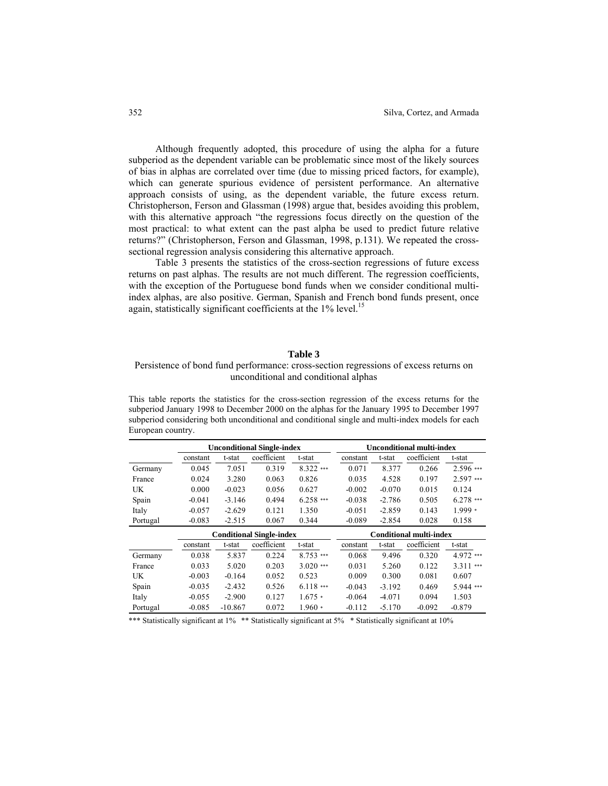Although frequently adopted, this procedure of using the alpha for a future subperiod as the dependent variable can be problematic since most of the likely sources of bias in alphas are correlated over time (due to missing priced factors, for example), which can generate spurious evidence of persistent performance. An alternative approach consists of using, as the dependent variable, the future excess return. Christopherson, Ferson and Glassman (1998) argue that, besides avoiding this problem, with this alternative approach "the regressions focus directly on the question of the most practical: to what extent can the past alpha be used to predict future relative returns?" (Christopherson, Ferson and Glassman, 1998, p.131). We repeated the crosssectional regression analysis considering this alternative approach.

Table 3 presents the statistics of the cross-section regressions of future excess returns on past alphas. The results are not much different. The regression coefficients, with the exception of the Portuguese bond funds when we consider conditional multiindex alphas, are also positive. German, Spanish and French bond funds present, once again, statistically significant coefficients at the  $1\%$  level.<sup>15</sup>

# **Table 3**

# Persistence of bond fund performance: cross-section regressions of excess returns on unconditional and conditional alphas

This table reports the statistics for the cross-section regression of the excess returns for the subperiod January 1998 to December 2000 on the alphas for the January 1995 to December 1997 subperiod considering both unconditional and conditional single and multi-index models for each European country.

|           |                                             | <b>Unconditional Single-index</b> | <b>Unconditional multi-index</b> |                                |          |                       |             |             |
|-----------|---------------------------------------------|-----------------------------------|----------------------------------|--------------------------------|----------|-----------------------|-------------|-------------|
|           | constant                                    | coefficient<br>t-stat<br>t-stat   |                                  |                                | constant | coefficient<br>t-stat |             | t-stat      |
| Germany   | 0.045                                       | 7.051                             | 0.319                            | $8.322$ ***                    | 0.071    | 8.377                 | 0.266       | $2.596$ *** |
| France    | 0.024                                       | 3.280                             | 0.063                            | 0.826                          | 0.035    | 4.528                 | 0.197       | $2.597***$  |
| <b>UK</b> | 0.000                                       | $-0.023$                          | 0.056                            | 0.627                          | $-0.002$ | $-0.070$              | 0.015       | 0.124       |
| Spain     | $-0.041$                                    | $-3.146$                          | 0.494                            | $6.258***$                     | $-0.038$ | $-2.786$              | 0.505       | $6.278$ *** |
| Italy     | $-0.057$                                    | $-2.629$                          | 0.121                            | 1.350                          | $-0.051$ | $-2.859$              | 0.143       | $1.999*$    |
| Portugal  | $-0.083$                                    | $-2.515$                          | 0.067                            | 0.344                          | $-0.089$ | $-2.854$              | 0.028       | 0.158       |
|           |                                             | <b>Conditional Single-index</b>   |                                  | <b>Conditional multi-index</b> |          |                       |             |             |
|           | coefficient<br>t-stat<br>constant<br>t-stat |                                   |                                  |                                | constant | t-stat                | coefficient | t-stat      |
| Germany   | 0.038                                       | 5.837                             | 0.224                            | $8.753***$                     | 0.068    | 9.496                 | 0.320       | 4.972 ***   |
| France    | 0.033                                       | 5.020                             | 0.203                            | $3.020$ ***                    | 0.031    | 5.260                 | 0.122       | $3.311***$  |
| UK        | $-0.003$                                    | $-0.164$                          | 0.052                            | 0.523                          | 0.009    | 0.300                 | 0.081       | 0.607       |
| Spain     | $-0.035$                                    | $-2.432$                          | 0.526                            | $6.118***$                     | $-0.043$ | $-3.192$              | 0.469       | 5.944 ***   |
| Italy     | $-0.055$                                    | $-2.900$                          | 0.127                            | $1.675*$                       | $-0.064$ | $-4.071$              | 0.094       | 1.503       |
| Portugal  | $-0.085$                                    | $-10.867$                         | 0.072                            | $1.960*$                       | $-0.112$ | $-5.170$              | $-0.092$    | $-0.879$    |

\*\*\* Statistically significant at 1% \*\* Statistically significant at 5% \* Statistically significant at 10%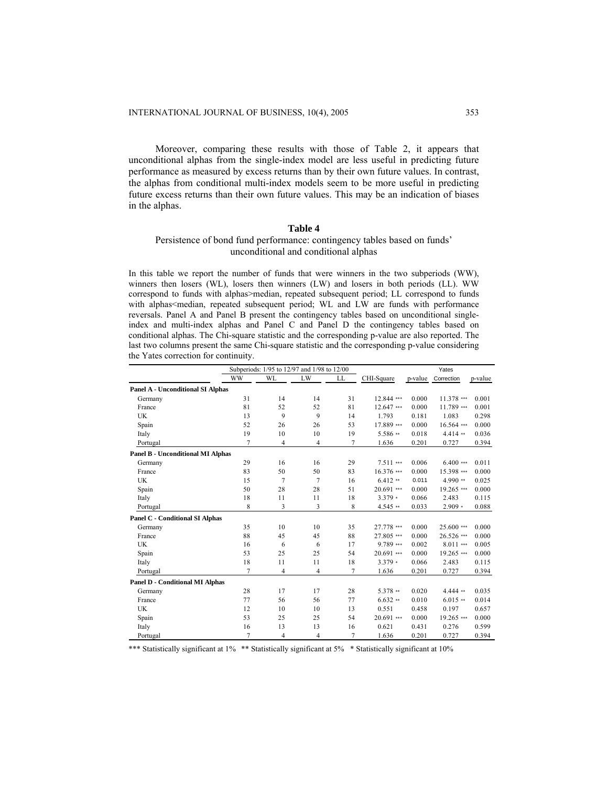Moreover, comparing these results with those of Table 2, it appears that unconditional alphas from the single-index model are less useful in predicting future performance as measured by excess returns than by their own future values. In contrast, the alphas from conditional multi-index models seem to be more useful in predicting future excess returns than their own future values. This may be an indication of biases in the alphas.

# **Table 4**

# Persistence of bond fund performance: contingency tables based on funds' unconditional and conditional alphas

In this table we report the number of funds that were winners in the two subperiods (WW), winners then losers (WL), losers then winners (LW) and losers in both periods (LL). WW correspond to funds with alphas>median, repeated subsequent period; LL correspond to funds with alphas<median, repeated subsequent period; WL and LW are funds with performance reversals. Panel A and Panel B present the contingency tables based on unconditional singleindex and multi-index alphas and Panel C and Panel D the contingency tables based on conditional alphas. The Chi-square statistic and the corresponding p-value are also reported. The last two columns present the same Chi-square statistic and the corresponding p-value considering the Yates correction for continuity.

|                                          | Subperiods: 1/95 to 12/97 and 1/98 to 12/00 |    |                | Yates |              |         |            |         |
|------------------------------------------|---------------------------------------------|----|----------------|-------|--------------|---------|------------|---------|
|                                          | <b>WW</b>                                   | WL | LW             | LL    | CHI-Square   | p-value | Correction | p-value |
| <b>Panel A - Unconditional SI Alphas</b> |                                             |    |                |       |              |         |            |         |
| Germany                                  | 31                                          | 14 | 14             | 31    | 12.844 ***   | 0.000   | 11.378 *** | 0.001   |
| France                                   | 81                                          | 52 | 52             | 81    | 12.647 ***   | 0.000   | 11.789 *** | 0.001   |
| <b>UK</b>                                | 13                                          | 9  | 9              | 14    | 1.793        | 0.181   | 1.083      | 0.298   |
| Spain                                    | 52                                          | 26 | 26             | 53    | 17.889 ***   | 0.000   | 16.564 *** | 0.000   |
| Italy                                    | 19                                          | 10 | 10             | 19    | $5.586$ **   | 0.018   | $4.414$ ** | 0.036   |
| Portugal                                 | $\overline{7}$                              | 4  | $\overline{4}$ | 7     | 1.636        | 0.201   | 0.727      | 0.394   |
| <b>Panel B - Unconditional MI Alphas</b> |                                             |    |                |       |              |         |            |         |
| Germany                                  | 29                                          | 16 | 16             | 29    | $7.511***$   | 0.006   | $6.400***$ | 0.011   |
| France                                   | 83                                          | 50 | 50             | 83    | 16.376 ***   | 0.000   | 15.398 *** | 0.000   |
| <b>UK</b>                                | 15                                          | 7  | 7              | 16    | $6.412$ **   | 0.011   | 4.990 **   | 0.025   |
| Spain                                    | 50                                          | 28 | 28             | 51    | 20.691 ***   | 0.000   | 19.265***  | 0.000   |
| Italy                                    | 18                                          | 11 | 11             | 18    | $3.379*$     | 0.066   | 2.483      | 0.115   |
| Portugal                                 | 8                                           | 3  | 3              | 8     | $4.545$ **   | 0.033   | $2.909*$   | 0.088   |
| <b>Panel C - Conditional SI Alphas</b>   |                                             |    |                |       |              |         |            |         |
| Germany                                  | 35                                          | 10 | 10             | 35    | 27.778 ***   | 0.000   | 25.600***  | 0.000   |
| France                                   | 88                                          | 45 | 45             | 88    | 27.805 ***   | 0.000   | 26.526 *** | 0.000   |
| <b>UK</b>                                | 16                                          | 6  | 6              | 17    | $9.789***$   | 0.002   | $8.011***$ | 0.005   |
| Spain                                    | 53                                          | 25 | 25             | 54    | 20.691 ***   | 0.000   | 19.265***  | 0.000   |
| Italy                                    | 18                                          | 11 | 11             | 18    | $3.379*$     | 0.066   | 2.483      | 0.115   |
| Portugal                                 | $\overline{7}$                              | 4  | 4              | 7     | 1.636        | 0.201   | 0.727      | 0.394   |
| <b>Panel D - Conditional MI Alphas</b>   |                                             |    |                |       |              |         |            |         |
| Germany                                  | 28                                          | 17 | 17             | 28    | $5.378$ **   | 0.020   | 4.444 **   | 0.035   |
| France                                   | 77                                          | 56 | 56             | 77    | $6.632**$    | 0.010   | $6.015**$  | 0.014   |
| <b>UK</b>                                | 12                                          | 10 | 10             | 13    | 0.551        | 0.458   | 0.197      | 0.657   |
| Spain                                    | 53                                          | 25 | 25             | 54    | $20.691$ *** | 0.000   | 19.265***  | 0.000   |
| Italy                                    | 16                                          | 13 | 13             | 16    | 0.621        | 0.431   | 0.276      | 0.599   |
| Portugal                                 | 7                                           | 4  | 4              | 7     | 1.636        | 0.201   | 0.727      | 0.394   |

\*\*\* Statistically significant at 1% \*\* Statistically significant at 5% \* Statistically significant at 10%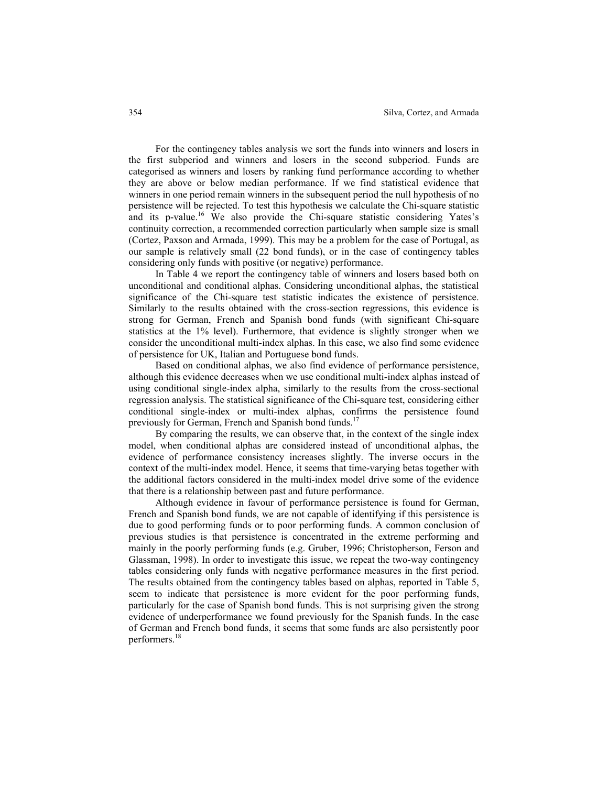For the contingency tables analysis we sort the funds into winners and losers in the first subperiod and winners and losers in the second subperiod. Funds are categorised as winners and losers by ranking fund performance according to whether they are above or below median performance. If we find statistical evidence that winners in one period remain winners in the subsequent period the null hypothesis of no persistence will be rejected. To test this hypothesis we calculate the Chi-square statistic and its p-value.<sup>16</sup> We also provide the Chi-square statistic considering Yates's continuity correction, a recommended correction particularly when sample size is small (Cortez, Paxson and Armada, 1999). This may be a problem for the case of Portugal, as our sample is relatively small (22 bond funds), or in the case of contingency tables considering only funds with positive (or negative) performance.

In Table 4 we report the contingency table of winners and losers based both on unconditional and conditional alphas. Considering unconditional alphas, the statistical significance of the Chi-square test statistic indicates the existence of persistence. Similarly to the results obtained with the cross-section regressions, this evidence is strong for German, French and Spanish bond funds (with significant Chi-square statistics at the 1% level). Furthermore, that evidence is slightly stronger when we consider the unconditional multi-index alphas. In this case, we also find some evidence of persistence for UK, Italian and Portuguese bond funds.

Based on conditional alphas, we also find evidence of performance persistence, although this evidence decreases when we use conditional multi-index alphas instead of using conditional single-index alpha, similarly to the results from the cross-sectional regression analysis. The statistical significance of the Chi-square test, considering either conditional single-index or multi-index alphas, confirms the persistence found previously for German, French and Spanish bond funds.<sup>17</sup>

By comparing the results, we can observe that, in the context of the single index model, when conditional alphas are considered instead of unconditional alphas, the evidence of performance consistency increases slightly. The inverse occurs in the context of the multi-index model. Hence, it seems that time-varying betas together with the additional factors considered in the multi-index model drive some of the evidence that there is a relationship between past and future performance.

Although evidence in favour of performance persistence is found for German, French and Spanish bond funds, we are not capable of identifying if this persistence is due to good performing funds or to poor performing funds. A common conclusion of previous studies is that persistence is concentrated in the extreme performing and mainly in the poorly performing funds (e.g. Gruber, 1996; Christopherson, Ferson and Glassman, 1998). In order to investigate this issue, we repeat the two-way contingency tables considering only funds with negative performance measures in the first period. The results obtained from the contingency tables based on alphas, reported in Table 5, seem to indicate that persistence is more evident for the poor performing funds, particularly for the case of Spanish bond funds. This is not surprising given the strong evidence of underperformance we found previously for the Spanish funds. In the case of German and French bond funds, it seems that some funds are also persistently poor performers.18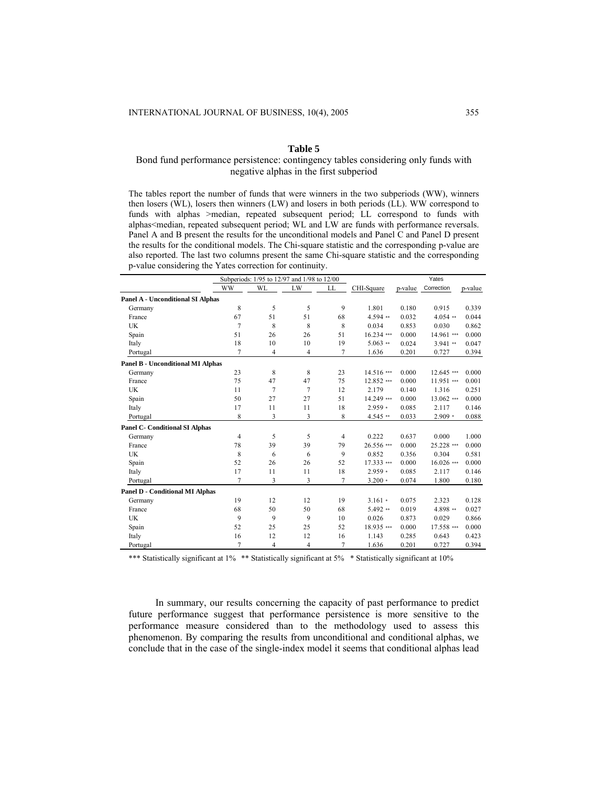## **Table 5**

# Bond fund performance persistence: contingency tables considering only funds with negative alphas in the first subperiod

The tables report the number of funds that were winners in the two subperiods (WW), winners then losers (WL), losers then winners (LW) and losers in both periods (LL). WW correspond to funds with alphas >median, repeated subsequent period; LL correspond to funds with alphas<median, repeated subsequent period; WL and LW are funds with performance reversals. Panel A and B present the results for the unconditional models and Panel C and Panel D present the results for the conditional models. The Chi-square statistic and the corresponding p-value are also reported. The last two columns present the same Chi-square statistic and the corresponding p-value considering the Yates correction for continuity.

|                                          |                | Subperiods: 1/95 to 12/97 and 1/98 to 12/00 |                |                |            |         | Yates      |         |
|------------------------------------------|----------------|---------------------------------------------|----------------|----------------|------------|---------|------------|---------|
|                                          | <b>WW</b>      | WL                                          | LW             | LL             | CHI-Square | p-value | Correction | p-value |
| <b>Panel A - Unconditional SI Alphas</b> |                |                                             |                |                |            |         |            |         |
| Germany                                  | 8              | 5                                           | 5              | 9              | 1.801      | 0.180   | 0.915      | 0.339   |
| France                                   | 67             | 51                                          | 51             | 68             | $4.594**$  | 0.032   | $4.054**$  | 0.044   |
| <b>UK</b>                                | 7              | 8                                           | 8              | 8              | 0.034      | 0.853   | 0.030      | 0.862   |
| Spain                                    | 51             | 26                                          | 26             | 51             | 16.234 *** | 0.000   | 14.961 *** | 0.000   |
| Italy                                    | 18             | 10                                          | 10             | 19             | $5.063$ ** | 0.024   | $3.941$ ** | 0.047   |
| Portugal                                 | 7              | $\overline{4}$                              | $\overline{4}$ | 7              | 1.636      | 0.201   | 0.727      | 0.394   |
| <b>Panel B - Unconditional MI Alphas</b> |                |                                             |                |                |            |         |            |         |
| Germany                                  | 23             | 8                                           | 8              | 23             | 14.516 *** | 0.000   | 12.645***  | 0.000   |
| France                                   | 75             | 47                                          | 47             | 75             | 12.852 *** | 0.000   | 11.951 *** | 0.001   |
| <b>UK</b>                                | 11             | 7                                           | 7              | 12             | 2.179      | 0.140   | 1.316      | 0.251   |
| Spain                                    | 50             | 27                                          | 27             | 51             | 14.249 *** | 0.000   | 13.062 *** | 0.000   |
| Italy                                    | 17             | 11                                          | 11             | 18             | $2.959*$   | 0.085   | 2.117      | 0.146   |
| Portugal                                 | 8              | 3                                           | 3              | 8              | $4.545**$  | 0.033   | $2.909*$   | 0.088   |
| <b>Panel C- Conditional SI Alphas</b>    |                |                                             |                |                |            |         |            |         |
| Germany                                  | $\overline{4}$ | 5                                           | 5              | $\overline{4}$ | 0.222      | 0.637   | 0.000      | 1.000   |
| France                                   | 78             | 39                                          | 39             | 79             | 26.556 *** | 0.000   | 25.228 *** | 0.000   |
| UK                                       | 8              | 6                                           | 6              | 9              | 0.852      | 0.356   | 0.304      | 0.581   |
| Spain                                    | 52             | 26                                          | 26             | 52             | 17.333 *** | 0.000   | 16.026 *** | 0.000   |
| Italy                                    | 17             | 11                                          | 11             | 18             | $2.959*$   | 0.085   | 2.117      | 0.146   |
| Portugal                                 | $\overline{7}$ | 3                                           | 3              | 7              | $3.200*$   | 0.074   | 1.800      | 0.180   |
| <b>Panel D - Conditional MI Alphas</b>   |                |                                             |                |                |            |         |            |         |
| Germany                                  | 19             | 12                                          | 12             | 19             | $3.161*$   | 0.075   | 2.323      | 0.128   |
| France                                   | 68             | 50                                          | 50             | 68             | $5.492**$  | 0.019   | 4.898 **   | 0.027   |
| <b>UK</b>                                | 9              | 9                                           | 9              | 10             | 0.026      | 0.873   | 0.029      | 0.866   |
| Spain                                    | 52             | 25                                          | 25             | 52             | 18.935 *** | 0.000   | 17.558 *** | 0.000   |
| Italy                                    | 16             | 12                                          | 12             | 16             | 1.143      | 0.285   | 0.643      | 0.423   |
| Portugal                                 | 7              | $\overline{4}$                              | $\overline{4}$ | 7              | 1.636      | 0.201   | 0.727      | 0.394   |

\*\*\* Statistically significant at 1% \*\* Statistically significant at 5% \* Statistically significant at 10%

In summary, our results concerning the capacity of past performance to predict future performance suggest that performance persistence is more sensitive to the performance measure considered than to the methodology used to assess this phenomenon. By comparing the results from unconditional and conditional alphas, we conclude that in the case of the single-index model it seems that conditional alphas lead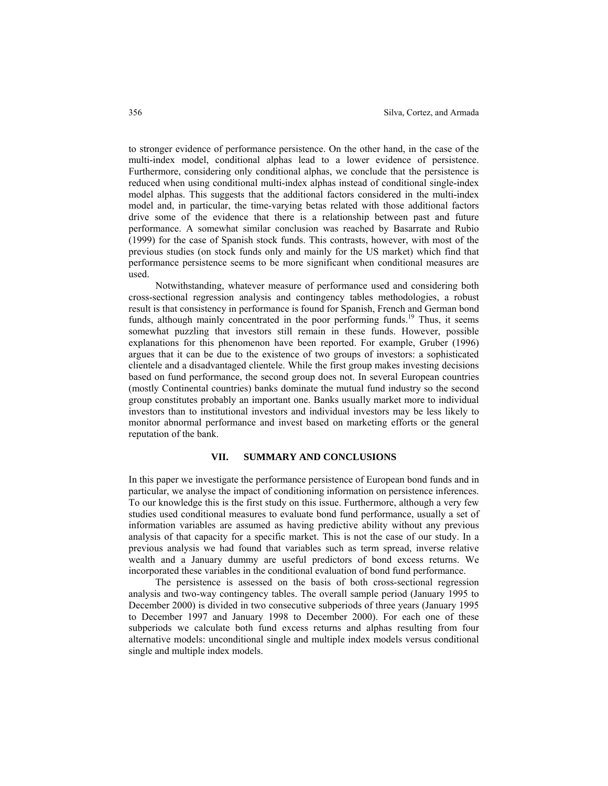to stronger evidence of performance persistence. On the other hand, in the case of the multi-index model, conditional alphas lead to a lower evidence of persistence. Furthermore, considering only conditional alphas, we conclude that the persistence is reduced when using conditional multi-index alphas instead of conditional single-index model alphas. This suggests that the additional factors considered in the multi-index model and, in particular, the time-varying betas related with those additional factors drive some of the evidence that there is a relationship between past and future performance. A somewhat similar conclusion was reached by Basarrate and Rubio (1999) for the case of Spanish stock funds. This contrasts, however, with most of the previous studies (on stock funds only and mainly for the US market) which find that performance persistence seems to be more significant when conditional measures are used.

Notwithstanding, whatever measure of performance used and considering both cross-sectional regression analysis and contingency tables methodologies, a robust result is that consistency in performance is found for Spanish, French and German bond funds, although mainly concentrated in the poor performing funds.<sup>19</sup> Thus, it seems somewhat puzzling that investors still remain in these funds. However, possible explanations for this phenomenon have been reported. For example, Gruber (1996) argues that it can be due to the existence of two groups of investors: a sophisticated clientele and a disadvantaged clientele. While the first group makes investing decisions based on fund performance, the second group does not. In several European countries (mostly Continental countries) banks dominate the mutual fund industry so the second group constitutes probably an important one. Banks usually market more to individual investors than to institutional investors and individual investors may be less likely to monitor abnormal performance and invest based on marketing efforts or the general reputation of the bank.

## **VII. SUMMARY AND CONCLUSIONS**

In this paper we investigate the performance persistence of European bond funds and in particular, we analyse the impact of conditioning information on persistence inferences. To our knowledge this is the first study on this issue. Furthermore, although a very few studies used conditional measures to evaluate bond fund performance, usually a set of information variables are assumed as having predictive ability without any previous analysis of that capacity for a specific market. This is not the case of our study. In a previous analysis we had found that variables such as term spread, inverse relative wealth and a January dummy are useful predictors of bond excess returns. We incorporated these variables in the conditional evaluation of bond fund performance.

 The persistence is assessed on the basis of both cross-sectional regression analysis and two-way contingency tables. The overall sample period (January 1995 to December 2000) is divided in two consecutive subperiods of three years (January 1995 to December 1997 and January 1998 to December 2000). For each one of these subperiods we calculate both fund excess returns and alphas resulting from four alternative models: unconditional single and multiple index models versus conditional single and multiple index models.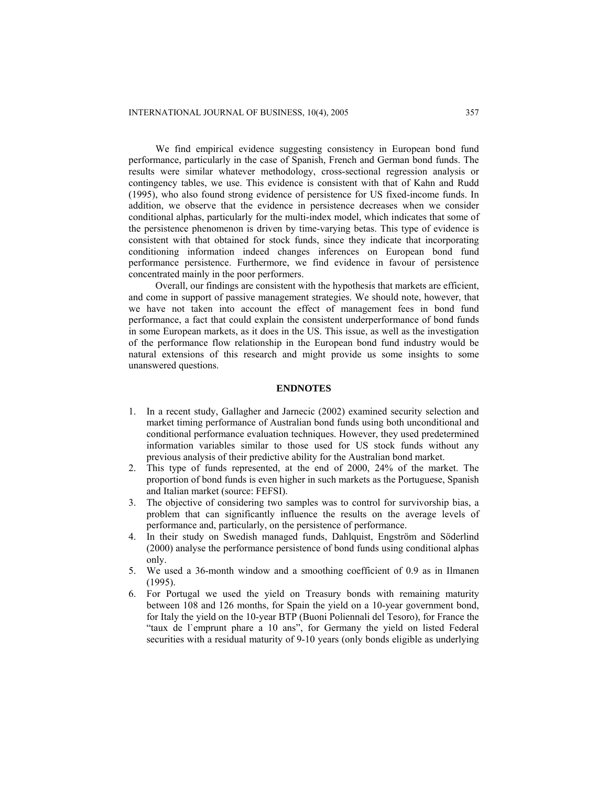We find empirical evidence suggesting consistency in European bond fund performance, particularly in the case of Spanish, French and German bond funds. The results were similar whatever methodology, cross-sectional regression analysis or contingency tables, we use. This evidence is consistent with that of Kahn and Rudd (1995), who also found strong evidence of persistence for US fixed-income funds. In addition, we observe that the evidence in persistence decreases when we consider conditional alphas, particularly for the multi-index model, which indicates that some of the persistence phenomenon is driven by time-varying betas. This type of evidence is consistent with that obtained for stock funds, since they indicate that incorporating conditioning information indeed changes inferences on European bond fund performance persistence. Furthermore, we find evidence in favour of persistence concentrated mainly in the poor performers.

Overall, our findings are consistent with the hypothesis that markets are efficient, and come in support of passive management strategies. We should note, however, that we have not taken into account the effect of management fees in bond fund performance, a fact that could explain the consistent underperformance of bond funds in some European markets, as it does in the US. This issue, as well as the investigation of the performance flow relationship in the European bond fund industry would be natural extensions of this research and might provide us some insights to some unanswered questions.

# **ENDNOTES**

- 1. In a recent study, Gallagher and Jarnecic (2002) examined security selection and market timing performance of Australian bond funds using both unconditional and conditional performance evaluation techniques. However, they used predetermined information variables similar to those used for US stock funds without any previous analysis of their predictive ability for the Australian bond market.
- 2. This type of funds represented, at the end of 2000, 24% of the market. The proportion of bond funds is even higher in such markets as the Portuguese, Spanish and Italian market (source: FEFSI).
- 3. The objective of considering two samples was to control for survivorship bias, a problem that can significantly influence the results on the average levels of performance and, particularly, on the persistence of performance.
- 4. In their study on Swedish managed funds, Dahlquist, Engström and Söderlind (2000) analyse the performance persistence of bond funds using conditional alphas only.
- 5. We used a 36-month window and a smoothing coefficient of 0.9 as in Ilmanen (1995).
- 6. For Portugal we used the yield on Treasury bonds with remaining maturity between 108 and 126 months, for Spain the yield on a 10-year government bond, for Italy the yield on the 10-year BTP (Buoni Poliennali del Tesoro), for France the "taux de l`emprunt phare a 10 ans", for Germany the yield on listed Federal securities with a residual maturity of 9-10 years (only bonds eligible as underlying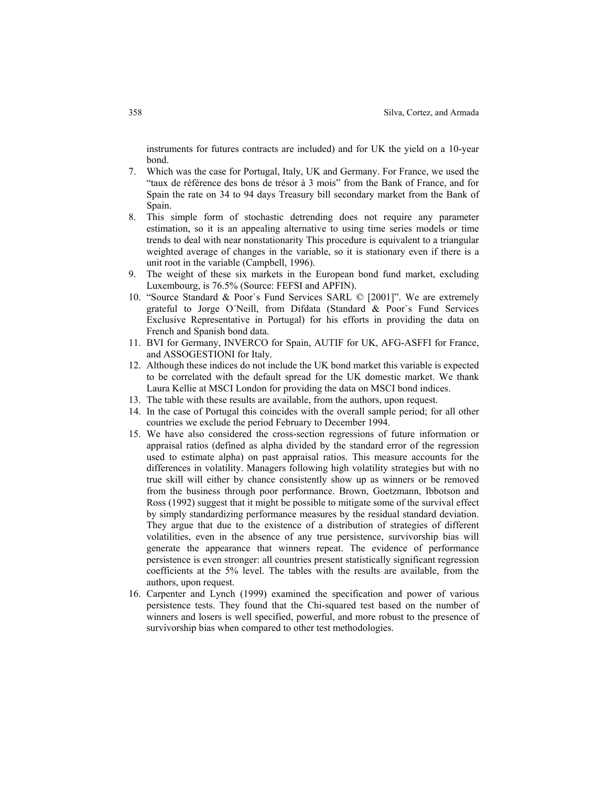instruments for futures contracts are included) and for UK the yield on a 10-year bond.

- 7. Which was the case for Portugal, Italy, UK and Germany. For France, we used the "taux de référence des bons de trésor à 3 mois" from the Bank of France, and for Spain the rate on 34 to 94 days Treasury bill secondary market from the Bank of Spain.
- 8. This simple form of stochastic detrending does not require any parameter estimation, so it is an appealing alternative to using time series models or time trends to deal with near nonstationarity This procedure is equivalent to a triangular weighted average of changes in the variable, so it is stationary even if there is a unit root in the variable (Campbell, 1996).
- 9. The weight of these six markets in the European bond fund market, excluding Luxembourg, is 76.5% (Source: FEFSI and APFIN).
- 10. "Source Standard & Poor`s Fund Services SARL © [2001]". We are extremely grateful to Jorge O´Neill, from Difdata (Standard & Poor`s Fund Services Exclusive Representative in Portugal) for his efforts in providing the data on French and Spanish bond data.
- 11. BVI for Germany, INVERCO for Spain, AUTIF for UK, AFG-ASFFI for France, and ASSOGESTIONI for Italy.
- 12. Although these indices do not include the UK bond market this variable is expected to be correlated with the default spread for the UK domestic market. We thank Laura Kellie at MSCI London for providing the data on MSCI bond indices.
- 13. The table with these results are available, from the authors, upon request.
- 14. In the case of Portugal this coincides with the overall sample period; for all other countries we exclude the period February to December 1994.
- 15. We have also considered the cross-section regressions of future information or appraisal ratios (defined as alpha divided by the standard error of the regression used to estimate alpha) on past appraisal ratios. This measure accounts for the differences in volatility. Managers following high volatility strategies but with no true skill will either by chance consistently show up as winners or be removed from the business through poor performance. Brown, Goetzmann, Ibbotson and Ross (1992) suggest that it might be possible to mitigate some of the survival effect by simply standardizing performance measures by the residual standard deviation. They argue that due to the existence of a distribution of strategies of different volatilities, even in the absence of any true persistence, survivorship bias will generate the appearance that winners repeat. The evidence of performance persistence is even stronger: all countries present statistically significant regression coefficients at the 5% level. The tables with the results are available, from the authors, upon request.
- 16. Carpenter and Lynch (1999) examined the specification and power of various persistence tests. They found that the Chi-squared test based on the number of winners and losers is well specified, powerful, and more robust to the presence of survivorship bias when compared to other test methodologies.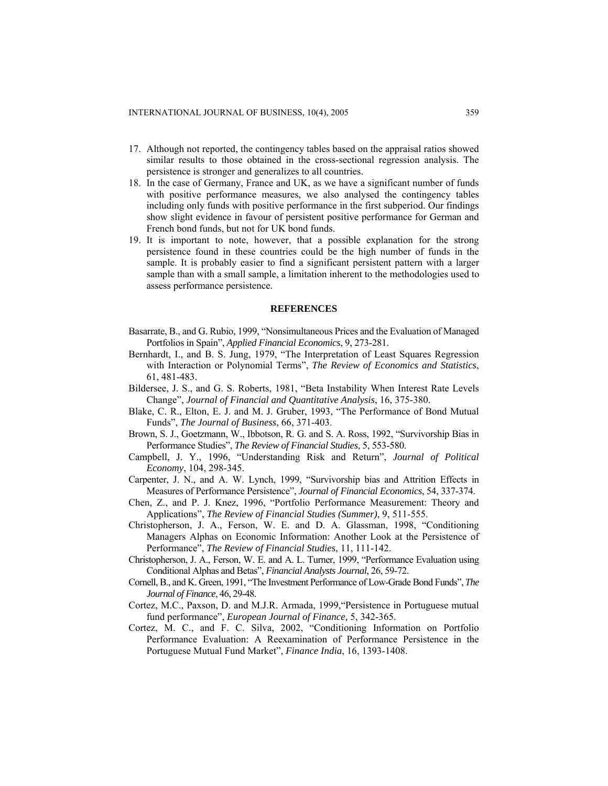- 17. Although not reported, the contingency tables based on the appraisal ratios showed similar results to those obtained in the cross-sectional regression analysis. The persistence is stronger and generalizes to all countries.
- 18. In the case of Germany, France and UK, as we have a significant number of funds with positive performance measures, we also analysed the contingency tables including only funds with positive performance in the first subperiod. Our findings show slight evidence in favour of persistent positive performance for German and French bond funds, but not for UK bond funds.
- 19. It is important to note, however, that a possible explanation for the strong persistence found in these countries could be the high number of funds in the sample. It is probably easier to find a significant persistent pattern with a larger sample than with a small sample, a limitation inherent to the methodologies used to assess performance persistence.

#### **REFERENCES**

- Basarrate, B., and G. Rubio, 1999, "Nonsimultaneous Prices and the Evaluation of Managed Portfolios in Spain", *Applied Financial Economics*, 9, 273-281.
- Bernhardt, I., and B. S. Jung, 1979, "The Interpretation of Least Squares Regression with Interaction or Polynomial Terms", *The Review of Economics and Statistics*, 61, 481-483.
- Bildersee, J. S., and G. S. Roberts, 1981, "Beta Instability When Interest Rate Levels Change", *Journal of Financial and Quantitative Analysis*, 16, 375-380.
- Blake, C. R., Elton, E. J. and M. J. Gruber, 1993, "The Performance of Bond Mutual Funds", *The Journal of Business*, 66, 371-403.
- Brown, S. J., Goetzmann, W., Ibbotson, R. G. and S. A. Ross, 1992, "Survivorship Bias in Performance Studies", *The Review of Financial Studies*, 5, 553-580.
- Campbell, J. Y., 1996, "Understanding Risk and Return", *Journal of Political Economy*, 104, 298-345.
- Carpenter, J. N., and A. W. Lynch, 1999, "Survivorship bias and Attrition Effects in Measures of Performance Persistence", *Journal of Financial Economics*, 54, 337-374.
- Chen, Z., and P. J. Knez, 1996, "Portfolio Performance Measurement: Theory and Applications", *The Review of Financial Studies (Summer)*, 9, 511-555.
- Christopherson, J. A., Ferson, W. E. and D. A. Glassman, 1998, "Conditioning Managers Alphas on Economic Information: Another Look at the Persistence of Performance", *The Review of Financial Studies*, 11, 111-142.
- Christopherson, J. A., Ferson, W. E. and A. L. Turner, 1999, "Performance Evaluation using Conditional Alphas and Betas", *Financial Analysts Journal*, 26, 59-72.
- Cornell, B., and K. Green, 1991, "The Investment Performance of Low-Grade Bond Funds", *The Journal of Finance*, 46, 29-48.
- Cortez, M.C., Paxson, D. and M.J.R. Armada, 1999,"Persistence in Portuguese mutual fund performance", *European Journal of Finance,* 5, 342-365.
- Cortez, M. C., and F. C. Silva, 2002, "Conditioning Information on Portfolio Performance Evaluation: A Reexamination of Performance Persistence in the Portuguese Mutual Fund Market", *Finance India*, 16, 1393-1408.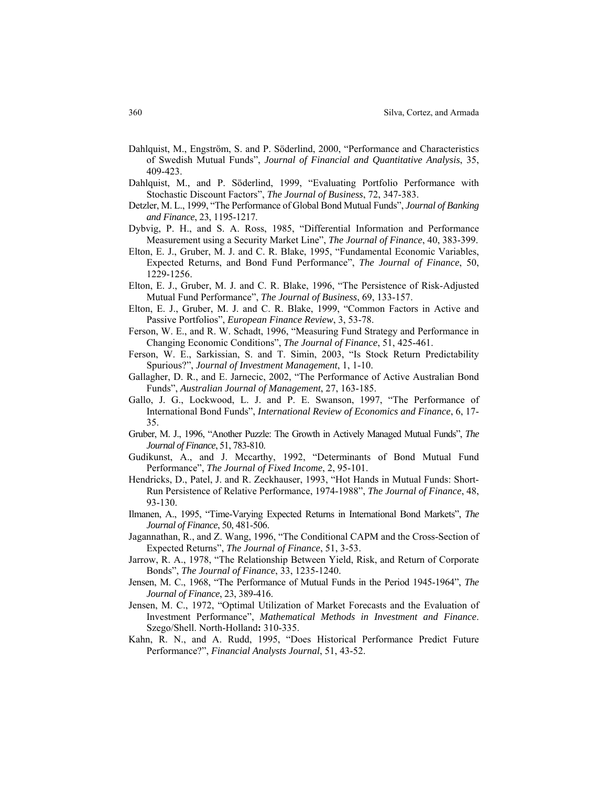- Dahlquist, M., Engström, S. and P. Söderlind, 2000, "Performance and Characteristics of Swedish Mutual Funds", *Journal of Financial and Quantitative Analysis*, 35, 409-423.
- Dahlquist, M., and P. Söderlind, 1999, "Evaluating Portfolio Performance with Stochastic Discount Factors", *The Journal of Business*, 72, 347-383.
- Detzler, M. L., 1999, "The Performance of Global Bond Mutual Funds", *Journal of Banking and Finance*, 23, 1195-1217.
- Dybvig, P. H., and S. A. Ross, 1985, "Differential Information and Performance Measurement using a Security Market Line", *The Journal of Finance*, 40, 383-399.
- Elton, E. J., Gruber, M. J. and C. R. Blake, 1995, "Fundamental Economic Variables, Expected Returns, and Bond Fund Performance", *The Journal of Finance*, 50, 1229-1256.
- Elton, E. J., Gruber, M. J. and C. R. Blake, 1996, "The Persistence of Risk-Adjusted Mutual Fund Performance", *The Journal of Business*, 69, 133-157.
- Elton, E. J., Gruber, M. J. and C. R. Blake, 1999, "Common Factors in Active and Passive Portfolios", *European Finance Review*, 3, 53-78.
- Ferson, W. E., and R. W. Schadt, 1996, "Measuring Fund Strategy and Performance in Changing Economic Conditions", *The Journal of Finance*, 51, 425-461.
- Ferson, W. E., Sarkissian, S. and T. Simin, 2003, "Is Stock Return Predictability Spurious?", *Journal of Investment Management*, 1, 1-10.
- Gallagher, D. R., and E. Jarnecic, 2002, "The Performance of Active Australian Bond Funds", *Australian Journal of Management*, 27, 163-185.
- Gallo, J. G., Lockwood, L. J. and P. E. Swanson, 1997, "The Performance of International Bond Funds", *International Review of Economics and Finance*, 6, 17- 35.
- Gruber, M. J., 1996, "Another Puzzle: The Growth in Actively Managed Mutual Funds", *The Journal of Finance*, 51, 783-810.
- Gudikunst, A., and J. Mccarthy, 1992, "Determinants of Bond Mutual Fund Performance", *The Journal of Fixed Income*, 2, 95-101.
- Hendricks, D., Patel, J. and R. Zeckhauser, 1993, "Hot Hands in Mutual Funds: Short-Run Persistence of Relative Performance, 1974-1988", *The Journal of Finance*, 48, 93-130.
- Ilmanen, A., 1995, "Time-Varying Expected Returns in International Bond Markets", *The Journal of Finance*, 50, 481-506.
- Jagannathan, R., and Z. Wang, 1996, "The Conditional CAPM and the Cross-Section of Expected Returns", *The Journal of Finance*, 51, 3-53.
- Jarrow, R. A., 1978, "The Relationship Between Yield, Risk, and Return of Corporate Bonds", *The Journal of Finance*, 33, 1235-1240.
- Jensen, M. C., 1968, "The Performance of Mutual Funds in the Period 1945-1964", *The Journal of Finance*, 23, 389-416.
- Jensen, M. C., 1972, "Optimal Utilization of Market Forecasts and the Evaluation of Investment Performance", *Mathematical Methods in Investment and Finance*. Szego/Shell. North-Holland**:** 310-335.
- Kahn, R. N., and A. Rudd, 1995, "Does Historical Performance Predict Future Performance?", *Financial Analysts Journal*, 51, 43-52.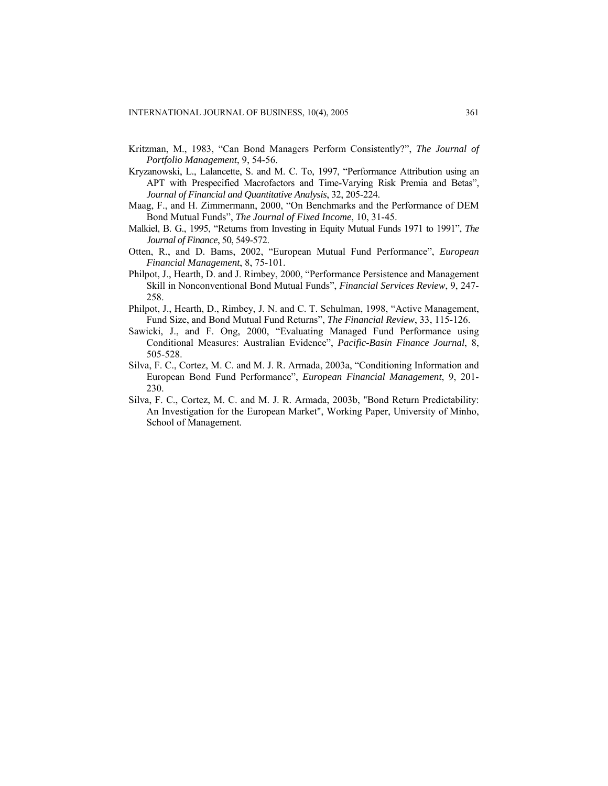- Kritzman, M., 1983, "Can Bond Managers Perform Consistently?", *The Journal of Portfolio Management*, 9, 54-56.
- Kryzanowski, L., Lalancette, S. and M. C. To, 1997, "Performance Attribution using an APT with Prespecified Macrofactors and Time-Varying Risk Premia and Betas", *Journal of Financial and Quantitative Analysis*, 32, 205-224.
- Maag, F., and H. Zimmermann, 2000, "On Benchmarks and the Performance of DEM Bond Mutual Funds", *The Journal of Fixed Income*, 10, 31-45.
- Malkiel, B. G., 1995, "Returns from Investing in Equity Mutual Funds 1971 to 1991", *The Journal of Finance*, 50, 549-572.
- Otten, R., and D. Bams, 2002, "European Mutual Fund Performance", *European Financial Management*, 8, 75-101.
- Philpot, J., Hearth, D. and J. Rimbey, 2000, "Performance Persistence and Management Skill in Nonconventional Bond Mutual Funds", *Financial Services Review*, 9, 247- 258.
- Philpot, J., Hearth, D., Rimbey, J. N. and C. T. Schulman, 1998, "Active Management, Fund Size, and Bond Mutual Fund Returns", *The Financial Review*, 33, 115-126.
- Sawicki, J., and F. Ong, 2000, "Evaluating Managed Fund Performance using Conditional Measures: Australian Evidence", *Pacific-Basin Finance Journal*, 8, 505-528.
- Silva, F. C., Cortez, M. C. and M. J. R. Armada, 2003a, "Conditioning Information and European Bond Fund Performance", *European Financial Management*, 9, 201- 230.
- Silva, F. C., Cortez, M. C. and M. J. R. Armada, 2003b, "Bond Return Predictability: An Investigation for the European Market", Working Paper, University of Minho, School of Management.